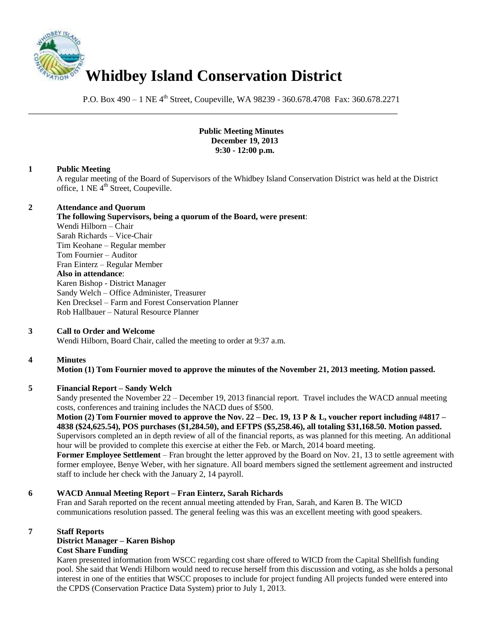

P.O. Box 490 – 1 NE 4<sup>th</sup> Street, Coupeville, WA 98239 - 360.678.4708 Fax: 360.678.2271

\_\_\_\_\_\_\_\_\_\_\_\_\_\_\_\_\_\_\_\_\_\_\_\_\_\_\_\_\_\_\_\_\_\_\_\_\_\_\_\_\_\_\_\_\_\_\_\_\_\_\_\_\_\_\_\_\_\_\_\_\_\_\_\_\_\_\_\_\_\_\_\_\_\_\_\_\_\_

### **Public Meeting Minutes December 19, 2013 9:30 - 12:00 p.m.**

## **1 Public Meeting**

A regular meeting of the Board of Supervisors of the Whidbey Island Conservation District was held at the District office,  $1$  NE  $4<sup>th</sup>$  Street, Coupeville.

### **2 Attendance and Quorum**

**The following Supervisors, being a quorum of the Board, were present**: Wendi Hilborn – Chair Sarah Richards – Vice-Chair Tim Keohane – Regular member Tom Fournier – Auditor Fran Einterz – Regular Member **Also in attendance**: Karen Bishop - District Manager Sandy Welch – Office Administer, Treasurer Ken Drecksel – Farm and Forest Conservation Planner Rob Hallbauer – Natural Resource Planner

## **3 Call to Order and Welcome**

Wendi Hilborn, Board Chair, called the meeting to order at 9:37 a.m.

## **4 Minutes**

**Motion (1) Tom Fournier moved to approve the minutes of the November 21, 2013 meeting. Motion passed.** 

## **5 Financial Report – Sandy Welch**

Sandy presented the November 22 – December 19, 2013 financial report. Travel includes the WACD annual meeting costs, conferences and training includes the NACD dues of \$500.

### **Motion (2) Tom Fournier moved to approve the Nov. 22 – Dec. 19, 13 P & L, voucher report including #4817 – 4838 (\$24,625.54), POS purchases (\$1,284.50), and EFTPS (\$5,258.46), all totaling \$31,168.50. Motion passed.**

Supervisors completed an in depth review of all of the financial reports, as was planned for this meeting. An additional hour will be provided to complete this exercise at either the Feb. or March, 2014 board meeting.

**Former Employee Settlement** – Fran brought the letter approved by the Board on Nov. 21, 13 to settle agreement with former employee, Benye Weber, with her signature. All board members signed the settlement agreement and instructed staff to include her check with the January 2, 14 payroll.

## **6 WACD Annual Meeting Report – Fran Einterz, Sarah Richards**

Fran and Sarah reported on the recent annual meeting attended by Fran, Sarah, and Karen B. The WICD communications resolution passed. The general feeling was this was an excellent meeting with good speakers.

### **7 Staff Reports**

### **District Manager – Karen Bishop Cost Share Funding**

Karen presented information from WSCC regarding cost share offered to WICD from the Capital Shellfish funding pool. She said that Wendi Hilborn would need to recuse herself from this discussion and voting, as she holds a personal interest in one of the entities that WSCC proposes to include for project funding All projects funded were entered into the CPDS (Conservation Practice Data System) prior to July 1, 2013.